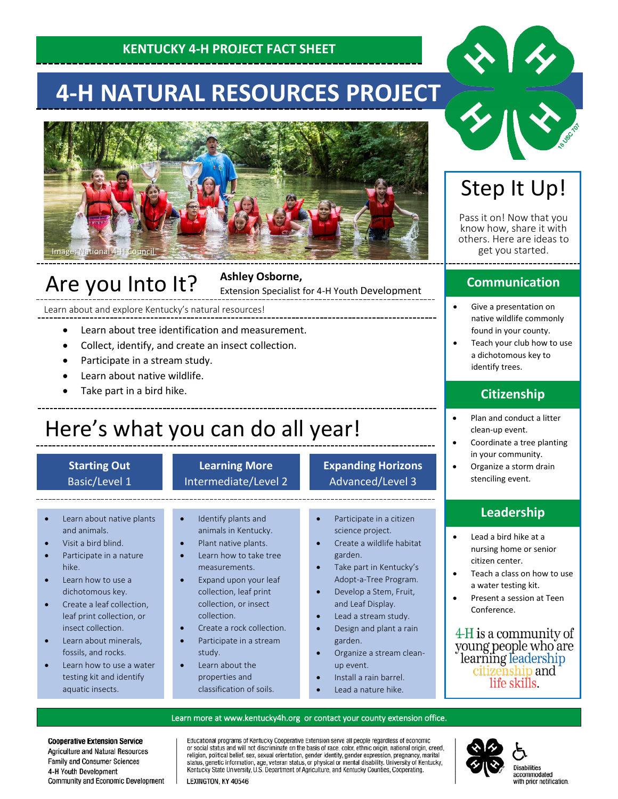### **KENTUCKY 4-H PROJECT FACT SHEET**

# **4-H NATURAL RESOURCES PROJECT**



## Are you Into It?

#### **Ashley Osborne,**

Extension Specialist for 4-H Youth Development

Learn about and explore Kentucky's natural resources!

- **•** Learn about tree identification and measurement.
- **•** Collect, identify, and create an insect collection.
	- Participate in a stream study.
	- Learn about native wildlife.
	- Take part in a bird hike.

# Here's what you can do all year!

#### **Starting Out** Basic/Level 1

#### **Learning More** Intermediate/Level 2

#### **Expanding Horizons** Advanced/Level 3

- Learn about native plants and animals.
- Visit a bird blind.
- Participate in a nature hike.
- Learn how to use a dichotomous key.
- Create a leaf collection, leaf print collection, or insect collection.
- Learn about minerals, fossils, and rocks.
- Learn how to use a water testing kit and identify aquatic insects.

Ĩ

- Identify plants and animals in Kentucky.
- Plant native plants.
- Learn how to take tree measurements.
- Expand upon your leaf collection, leaf print collection, or insect collection.
- Create a rock collection.
- Participate in a stream study.
- Learn about the properties and classification of soils.
- Participate in a citizen science project.
- Create a wildlife habitat garden.
- Take part in Kentucky's Adopt-a-Tree Program.
- Develop a Stem, Fruit,
- and Leaf Display. Lead a stream study.
- Design and plant a rain garden.
- Organize a stream cleanup event.
- Install a rain barrel.
- Lead a nature hike.

## Step It Up!

Pass it on! Now that you know how, share it with others. Here are ideas to get you started.

#### **Communication**

- Give a presentation on native wildlife commonly found in your county.
- Teach your club how to use a dichotomous key to identify trees.

### **Citizenship**

- Plan and conduct a litter clean-up event.
- Coordinate a tree planting in your community.
- Organize a storm drain stenciling event.

#### **Leadership**

- Lead a bird hike at a nursing home or senior citizen center.
- Teach a class on how to use a water testing kit.
- Present a session at Teen Conference.

4-H is a community of young people who are<br>learning leadership citizenship and life skills.

#### Learn more at [www.kentucky4h.org](http://www.kentucky4h.org/) or contact your county extension office.

**Cooperative Extension Service** Agriculture and Natural Resources Family and Consumer Sciences 4-H Youth Development Community and Economic Development Educational programs of Kentucky Cooperative Extension serve all people regardless of economic procedul status and will not discriminate on the basis of race, color, ethnic origin, national origin, creed, religion, political belief, sex, sexual orientation, gender identity, gender expression, pregnancy, marital stat Kentucky State University, U.S. Department of Agriculture, and Kentucky Counties, Cooperating.





Disabilities accommodated<br>with prior notification.